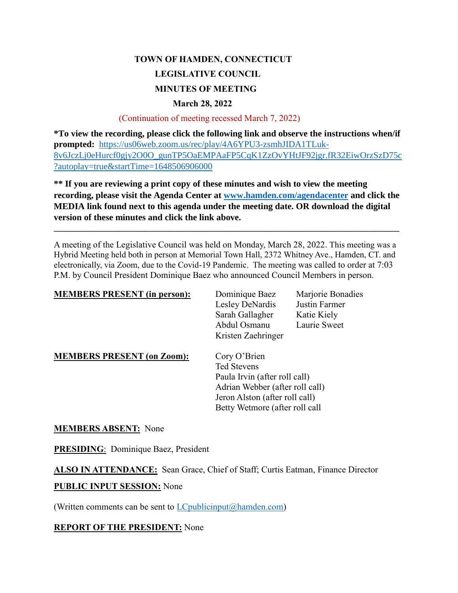# **TOWN OF HAMDEN, CONNECTICUT LEGISLATIVE COUNCIL MINUTES OF MEETING March 28, 2022**

#### (Continuation of meeting recessed March 7, 2022)

**\*To view the recording, please click the following link and observe the instructions when/if prompted:** [https://us06web.zoom.us/rec/play/4A6YPU3-zsmhJIDA1TLuk-](https://us06web.zoom.us/rec/play/4A6YPU3-zsmhJIDA1TLuk-8v6JczLj0eHurcf0gjy2O0O_gunTP5OaEMPAaFP5CqK1ZzOvYHtJF92jgr.fR32EiwOrzSzD75c?autoplay=true&startTime=1648506906000)[8v6JczLj0eHurcf0gjy2O0O\\_gunTP5OaEMPAaFP5CqK1ZzOvYHtJF92jgr.fR32EiwOrzSzD75c](https://us06web.zoom.us/rec/play/4A6YPU3-zsmhJIDA1TLuk-8v6JczLj0eHurcf0gjy2O0O_gunTP5OaEMPAaFP5CqK1ZzOvYHtJF92jgr.fR32EiwOrzSzD75c?autoplay=true&startTime=1648506906000) [?autoplay=true&startTime=1648506906000](https://us06web.zoom.us/rec/play/4A6YPU3-zsmhJIDA1TLuk-8v6JczLj0eHurcf0gjy2O0O_gunTP5OaEMPAaFP5CqK1ZzOvYHtJF92jgr.fR32EiwOrzSzD75c?autoplay=true&startTime=1648506906000)

**\*\* If you are reviewing a print copy of these minutes and wish to view the meeting recording, please visit the Agenda Center at [www.hamden.com/agendacenter](http://www.hamden.com/agendacenter) and click the MEDIA link found next to this agenda under the meeting date. OR download the digital version of these minutes and click the link above.**

**\_\_\_\_\_\_\_\_\_\_\_\_\_\_\_\_\_\_\_\_\_\_\_\_\_\_\_\_\_\_\_\_\_\_\_\_\_\_\_\_\_\_\_\_\_\_\_\_\_\_\_\_\_\_\_\_\_\_\_\_\_\_\_\_\_\_\_\_\_\_\_\_\_\_\_\_\_\_\_\_\_\_\_\_**

A meeting of the Legislative Council was held on Monday, March 28, 2022. This meeting was a Hybrid Meeting held both in person at Memorial Town Hall, 2372 Whitney Ave., Hamden, CT. and electronically, via Zoom, due to the Covid-19 Pandemic. The meeting was called to order at 7:03 P.M. by Council President Dominique Baez who announced Council Members in person.

| <b>MEMBERS PRESENT (in person):</b> | Dominique Baez                  | Marjorie Bonadies |
|-------------------------------------|---------------------------------|-------------------|
|                                     | Lesley DeNardis                 | Justin Farmer     |
|                                     | Sarah Gallagher                 | Katie Kiely       |
|                                     | Abdul Osmanu                    | Laurie Sweet      |
|                                     | Kristen Zaehringer              |                   |
| <b>MEMBERS PRESENT (on Zoom):</b>   | Cory O'Brien                    |                   |
|                                     | <b>Ted Stevens</b>              |                   |
|                                     | Paula Irvin (after roll call)   |                   |
|                                     | Adrian Webber (after roll call) |                   |
|                                     | Jeron Alston (after roll call)  |                   |
|                                     | Betty Wetmore (after roll call  |                   |

#### **MEMBERS ABSENT:** None

**PRESIDING**: Dominique Baez, President

**ALSO IN ATTENDANCE:** Sean Grace, Chief of Staff; Curtis Eatman, Finance Director

#### **PUBLIC INPUT SESSION:** None

(Written comments can be sent to  $LC$  publicinput  $(a)$  hamden.com)

#### **REPORT OF THE PRESIDENT:** None